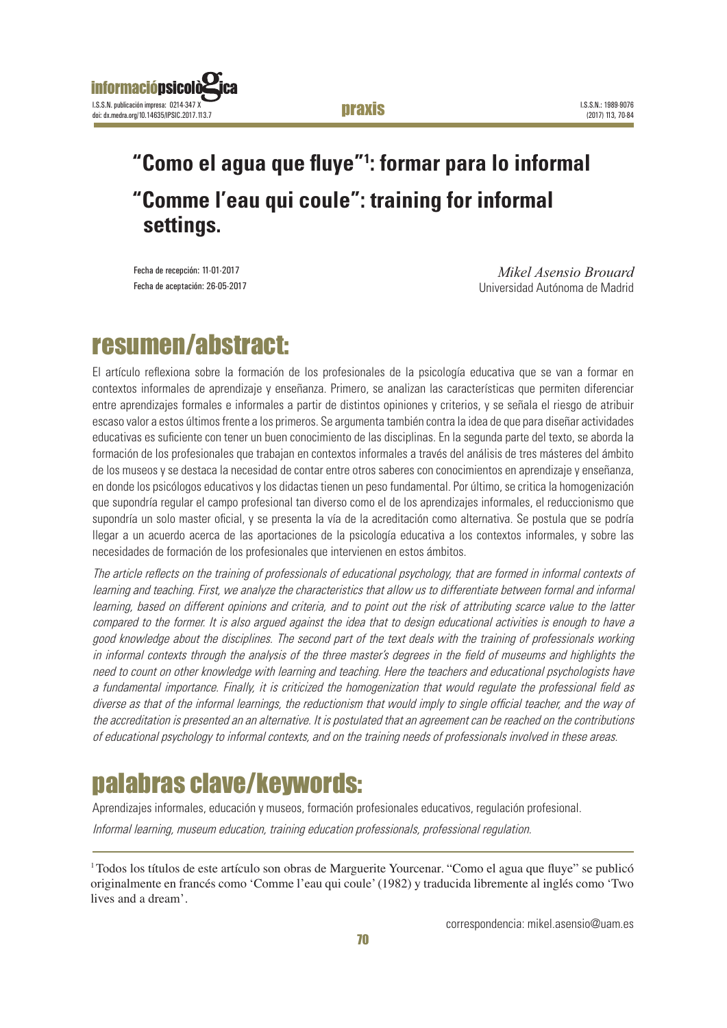#### "Como el agua que fluye" 1: formar para lo informal praxis

### **informaciónsico** I.S.S.N. publicación impresa: 0214-347 X doi: dx.medra.org/10.14635/IPSIC.2017.113.7

## **"Como el agua que fluye"1 : formar para lo informal "Comme l'eau qui coule": training for informal settings.**

Fecha de recepción: 11-01-2017 Fecha de aceptación: 26-05-2017

*Mikel Asensio Brouard* Universidad Autónoma de Madrid

## resumen/abstract:

El artículo reflexiona sobre la formación de los profesionales de la psicología educativa que se van a formar en contextos informales de aprendizaje y enseñanza. Primero, se analizan las características que permiten diferenciar entre aprendizajes formales e informales a partir de distintos opiniones y criterios, y se señala el riesgo de atribuir escaso valor a estos últimos frente a los primeros. Se argumenta también contra la idea de que para diseñar actividades educativas es suficiente con tener un buen conocimiento de las disciplinas. En la segunda parte del texto, se aborda la formación de los profesionales que trabajan en contextos informales a través del análisis de tres másteres del ámbito de los museos y se destaca la necesidad de contar entre otros saberes con conocimientos en aprendizaje y enseñanza, en donde los psicólogos educativos y los didactas tienen un peso fundamental. Por último, se critica la homogenización que supondría regular el campo profesional tan diverso como el de los aprendizajes informales, el reduccionismo que supondría un solo master oficial, y se presenta la vía de la acreditación como alternativa. Se postula que se podría llegar a un acuerdo acerca de las aportaciones de la psicología educativa a los contextos informales, y sobre las necesidades de formación de los profesionales que intervienen en estos ámbitos.

The article reflects on the training of professionals of educational psychology, that are formed in informal contexts of learning and teaching. First, we analyze the characteristics that allow us to differentiate between formal and informal learning, based on different opinions and criteria, and to point out the risk of attributing scarce value to the latter compared to the former. It is also argued against the idea that to design educational activities is enough to have a good knowledge about the disciplines. The second part of the text deals with the training of professionals working in informal contexts through the analysis of the three master's degrees in the field of museums and highlights the need to count on other knowledge with learning and teaching. Here the teachers and educational psychologists have a fundamental importance. Finally, it is criticized the homogenization that would regulate the professional field as diverse as that of the informal learnings, the reductionism that would imply to single official teacher, and the way of the accreditation is presented an an alternative. It is postulated that an agreement can be reached on the contributions of educational psychology to informal contexts, and on the training needs of professionals involved in these areas.

# palabras clave/keywords:

Aprendizajes informales, educación y museos, formación profesionales educativos, regulación profesional.

Informal learning, museum education, training education professionals, professional regulation.

<sup>&</sup>lt;sup>1</sup>Todos los títulos de este artículo son obras de Marguerite Yourcenar. "Como el agua que fluye" se publicó originalmente en francés como 'Comme l'eau qui coule' (1982) y traducida libremente al inglés como 'Two lives and a dream'.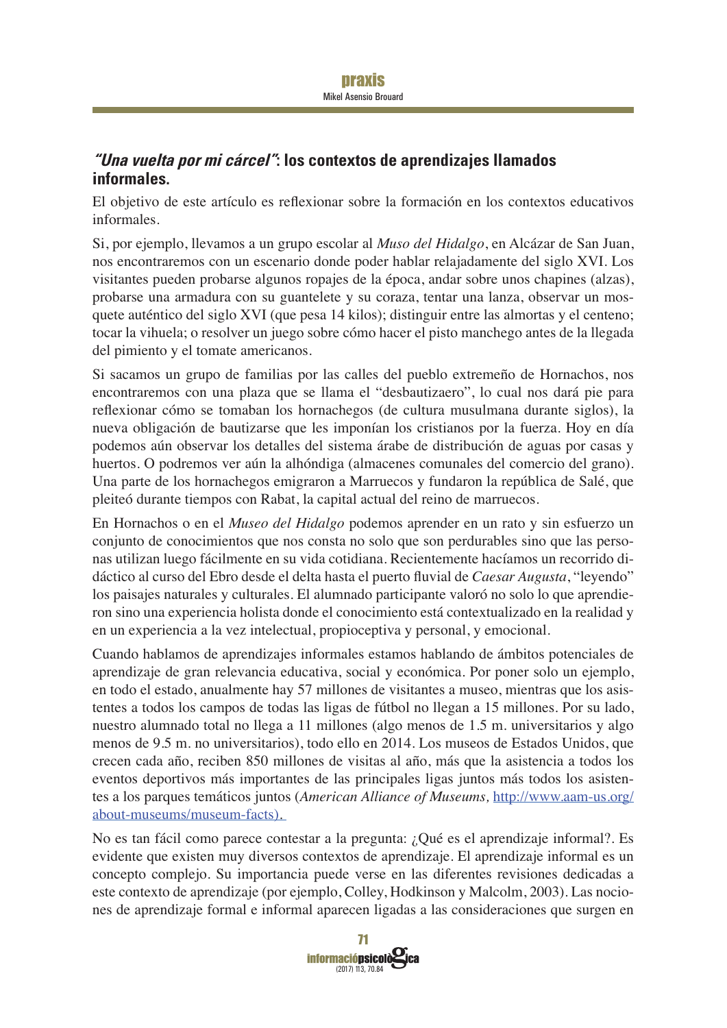### **"Una vuelta por mi cárcel": los contextos de aprendizajes llamados informales.**

El objetivo de este artículo es reflexionar sobre la formación en los contextos educativos informales.

Si, por ejemplo, llevamos a un grupo escolar al *Muso del Hidalgo*, en Alcázar de San Juan, nos encontraremos con un escenario donde poder hablar relajadamente del siglo XVI. Los visitantes pueden probarse algunos ropajes de la época, andar sobre unos chapines (alzas), probarse una armadura con su guantelete y su coraza, tentar una lanza, observar un mosquete auténtico del siglo XVI (que pesa 14 kilos); distinguir entre las almortas y el centeno; tocar la vihuela; o resolver un juego sobre cómo hacer el pisto manchego antes de la llegada del pimiento y el tomate americanos.

Si sacamos un grupo de familias por las calles del pueblo extremeño de Hornachos, nos encontraremos con una plaza que se llama el "desbautizaero", lo cual nos dará pie para reflexionar cómo se tomaban los hornachegos (de cultura musulmana durante siglos), la nueva obligación de bautizarse que les imponían los cristianos por la fuerza. Hoy en día podemos aún observar los detalles del sistema árabe de distribución de aguas por casas y huertos. O podremos ver aún la alhóndiga (almacenes comunales del comercio del grano). Una parte de los hornachegos emigraron a Marruecos y fundaron la república de Salé, que pleiteó durante tiempos con Rabat, la capital actual del reino de marruecos.

En Hornachos o en el *Museo del Hidalgo* podemos aprender en un rato y sin esfuerzo un conjunto de conocimientos que nos consta no solo que son perdurables sino que las personas utilizan luego fácilmente en su vida cotidiana. Recientemente hacíamos un recorrido didáctico al curso del Ebro desde el delta hasta el puerto fluvial de *Caesar Augusta*, "leyendo" los paisajes naturales y culturales. El alumnado participante valoró no solo lo que aprendieron sino una experiencia holista donde el conocimiento está contextualizado en la realidad y en un experiencia a la vez intelectual, propioceptiva y personal, y emocional.

Cuando hablamos de aprendizajes informales estamos hablando de ámbitos potenciales de aprendizaje de gran relevancia educativa, social y económica. Por poner solo un ejemplo, en todo el estado, anualmente hay 57 millones de visitantes a museo, mientras que los asistentes a todos los campos de todas las ligas de fútbol no llegan a 15 millones. Por su lado, nuestro alumnado total no llega a 11 millones (algo menos de 1.5 m. universitarios y algo menos de 9.5 m. no universitarios), todo ello en 2014. Los museos de Estados Unidos, que crecen cada año, reciben 850 millones de visitas al año, más que la asistencia a todos los eventos deportivos más importantes de las principales ligas juntos más todos los asistentes a los parques temáticos juntos (American Alliance of Museums, http://www.aam-us.org/ about-museums/museum-facts).

No es tan fácil como parece contestar a la pregunta: ¿Qué es el aprendizaje informal?. Es evidente que existen muy diversos contextos de aprendizaje. El aprendizaje informal es un concepto complejo. Su importancia puede verse en las diferentes revisiones dedicadas a este contexto de aprendizaje (por ejemplo, Colley, Hodkinson y Malcolm, 2003). Las nociones de aprendizaje formal e informal aparecen ligadas a las consideraciones que surgen en

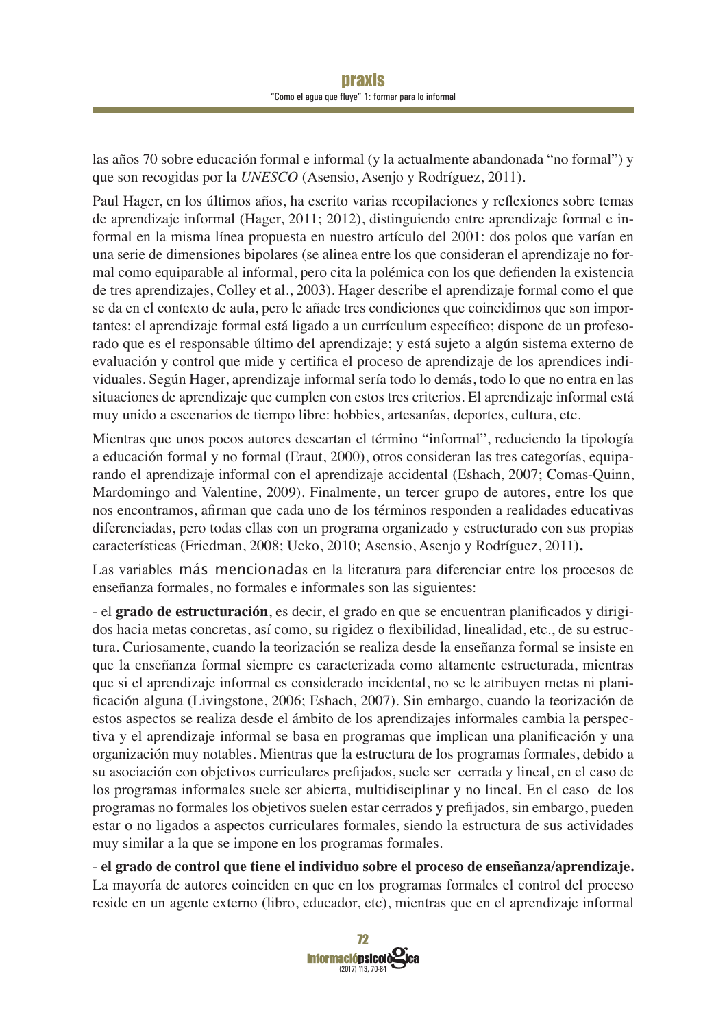las años 70 sobre educación formal e informal (y la actualmente abandonada "no formal") y que son recogidas por la *UNESCO* (Asensio, Asenjo y Rodríguez, 2011).

Paul Hager, en los últimos años, ha escrito varias recopilaciones y reflexiones sobre temas de aprendizaje informal (Hager, 2011; 2012), distinguiendo entre aprendizaje formal e informal en la misma línea propuesta en nuestro artículo del 2001: dos polos que varían en una serie de dimensiones bipolares (se alinea entre los que consideran el aprendizaje no formal como equiparable al informal, pero cita la polémica con los que defienden la existencia de tres aprendizajes, Colley et al., 2003). Hager describe el aprendizaje formal como el que se da en el contexto de aula, pero le añade tres condiciones que coincidimos que son importantes: el aprendizaje formal está ligado a un currículum específico; dispone de un profesorado que es el responsable último del aprendizaje; y está sujeto a algún sistema externo de evaluación y control que mide y certifica el proceso de aprendizaje de los aprendices individuales. Según Hager, aprendizaje informal sería todo lo demás, todo lo que no entra en las situaciones de aprendizaje que cumplen con estos tres criterios. El aprendizaje informal está muy unido a escenarios de tiempo libre: hobbies, artesanías, deportes, cultura, etc.

Mientras que unos pocos autores descartan el término "informal", reduciendo la tipología a educación formal y no formal (Eraut, 2000), otros consideran las tres categorías, equiparando el aprendizaje informal con el aprendizaje accidental (Eshach, 2007; Comas-Quinn, Mardomingo and Valentine, 2009). Finalmente, un tercer grupo de autores, entre los que nos encontramos, afirman que cada uno de los términos responden a realidades educativas diferenciadas, pero todas ellas con un programa organizado y estructurado con sus propias características (Friedman, 2008; Ucko, 2010; Asensio, Asenjo y Rodríguez, 2011).

Las variables más mencionadas en la literatura para diferenciar entre los procesos de enseñanza formales, no formales e informales son las siguientes:

- el **grado de estructuración**, es decir, el grado en que se encuentran planificados y dirigidos hacia metas concretas, así como, su rigidez o flexibilidad, linealidad, etc., de su estructura. Curiosamente, cuando la teorización se realiza desde la enseñanza formal se insiste en que la enseñanza formal siempre es caracterizada como altamente estructurada, mientras que si el aprendizaje informal es considerado incidental, no se le atribuyen metas ni planificación alguna (Livingstone, 2006; Eshach, 2007). Sin embargo, cuando la teorización de estos aspectos se realiza desde el ámbito de los aprendizajes informales cambia la perspectiva y el aprendizaje informal se basa en programas que implican una planificación y una organización muy notables. Mientras que la estructura de los programas formales, debido a su asociación con objetivos curriculares prefijados, suele ser cerrada y lineal, en el caso de los programas informales suele ser abierta, multidisciplinar y no lineal. En el caso de los programas no formales los objetivos suelen estar cerrados y prefijados, sin embargo, pueden estar o no ligados a aspectos curriculares formales, siendo la estructura de sus actividades muy similar a la que se impone en los programas formales.

- **el grado de control que tiene el individuo sobre el proceso de enseñanza/aprendizaje.** La mayoría de autores coinciden en que en los programas formales el control del proceso reside en un agente externo (libro, educador, etc), mientras que en el aprendizaje informal

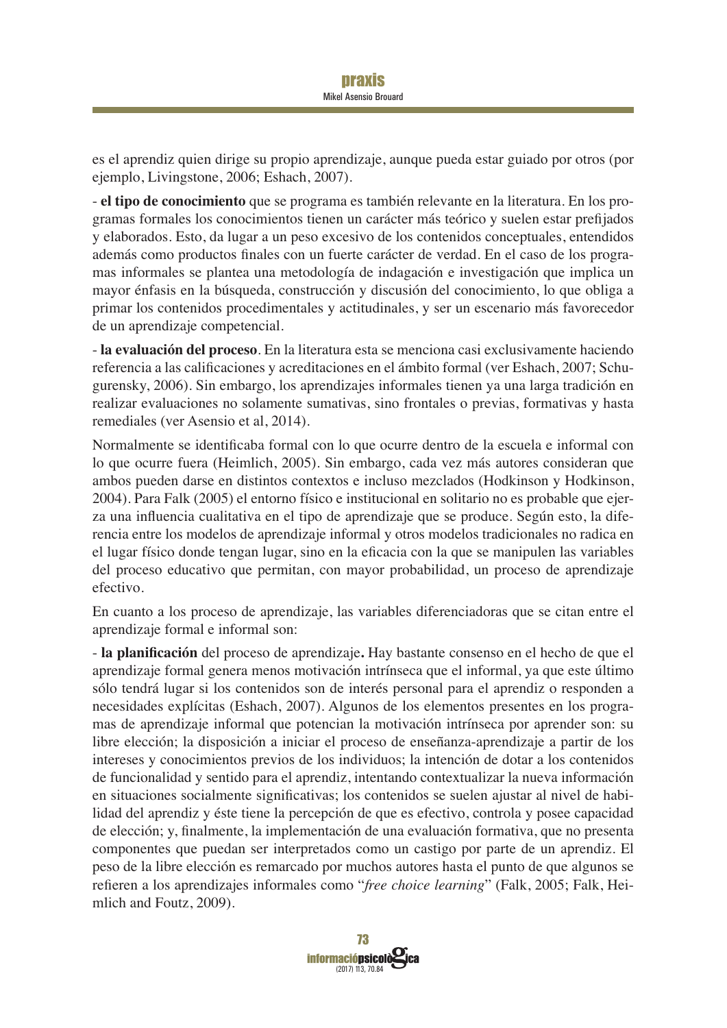es el aprendiz quien dirige su propio aprendizaje, aunque pueda estar guiado por otros (por ejemplo, Livingstone, 2006; Eshach, 2007).

- el tipo de conocimiento que se programa es también relevante en la literatura. En los programas formales los conocimientos tienen un carácter más teórico y suelen estar prefijados y elaborados. Esto, da lugar a un peso excesivo de los contenidos conceptuales, entendidos además como productos finales con un fuerte carácter de verdad. En el caso de los programas informales se plantea una metodología de indagación e investigación que implica un mayor énfasis en la búsqueda, construcción y discusión del conocimiento, lo que obliga a primar los contenidos procedimentales y actitudinales, y ser un escenario más favorecedor de un aprendizaje competencial.

- la evaluación del proceso. En la literatura esta se menciona casi exclusivamente haciendo referencia a las calificaciones y acreditaciones en el ámbito formal (ver Eshach, 2007; Schugurensky, 2006). Sin embargo, los aprendizajes informales tienen ya una larga tradición en realizar evaluaciones no solamente sumativas, sino frontales o previas, formativas y hasta remediales (ver Asensio et al, 2014).

Normalmente se identificaba formal con lo que ocurre dentro de la escuela e informal con lo que ocurre fuera (Heimlich, 2005). Sin embargo, cada vez más autores consideran que ambos pueden darse en distintos contextos e incluso mezclados (Hodkinson y Hodkinson, 2004). Para Falk (2005) el entorno físico e institucional en solitario no es probable que ejerza una influencia cualitativa en el tipo de aprendizaje que se produce. Según esto, la diferencia entre los modelos de aprendizaje informal y otros modelos tradicionales no radica en el lugar físico donde tengan lugar, sino en la eficacia con la que se manipulen las variables del proceso educativo que permitan, con mayor probabilidad, un proceso de aprendizaje efectivo.

En cuanto a los proceso de aprendizaje, las variables diferenciadoras que se citan entre el aprendizaje formal e informal son:

- la planificación del proceso de aprendizaje. Hay bastante consenso en el hecho de que el aprendizaje formal genera menos motivación intrínseca que el informal, ya que este último sólo tendrá lugar si los contenidos son de interés personal para el aprendiz o responden a necesidades explícitas (Eshach, 2007). Algunos de los elementos presentes en los programas de aprendizaje informal que potencian la motivación intrínseca por aprender son: su libre elección; la disposición a iniciar el proceso de enseñanza-aprendizaje a partir de los intereses y conocimientos previos de los individuos; la intención de dotar a los contenidos de funcionalidad y sentido para el aprendiz, intentando contextualizar la nueva información en situaciones socialmente significativas; los contenidos se suelen ajustar al nivel de habilidad del aprendiz y éste tiene la percepción de que es efectivo, controla y posee capacidad de elección; y, finalmente, la implementación de una evaluación formativa, que no presenta componentes que puedan ser interpretados como un castigo por parte de un aprendiz. El peso de la libre elección es remarcado por muchos autores hasta el punto de que algunos se refieren a los aprendizajes informales como "free choice learning" (Falk, 2005; Falk, Heimlich and Foutz, 2009).

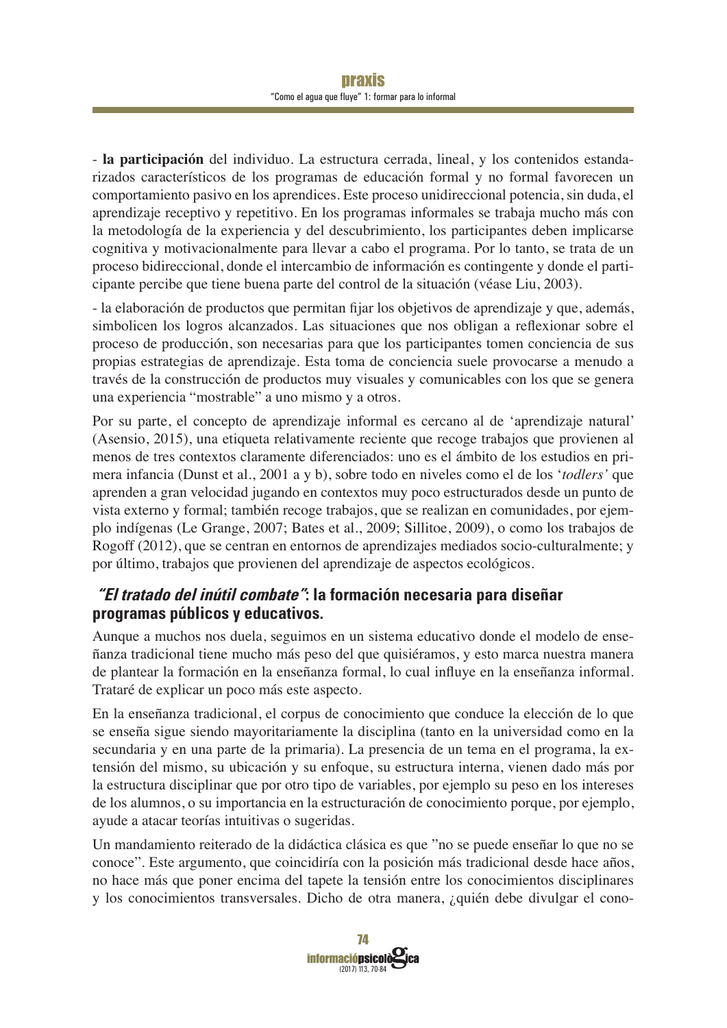- la participación del individuo. La estructura cerrada, lineal, y los contenidos estandarizados característicos de los programas de educación formal y no formal favorecen un comportamiento pasivo en los aprendices. Este proceso unidireccional potencia, sin duda, el aprendizaje receptivo y repetitivo. En los programas informales se trabaja mucho más con la metodología de la experiencia y del descubrimiento, los participantes deben implicarse cognitiva y motivacionalmente para llevar a cabo el programa. Por lo tanto, se trata de un  $\mu$ proceso bidireccional, donde el intercambio de información es contingente y donde el participante percibe que tiene buena parte del control de la situación (véase Liu, 2003).

- la elaboración de productos que permitan fijar los objetivos de aprendizaje y que, además, simbolicen los logros alcanzados. Las situaciones que nos obligan a reflexionar sobre el proceso de producción, son necesarias para que los participantes tomen conciencia de sus propias estrategias de aprendizaje. Esta toma de conciencia suele provocarse a menudo a través de la construcción de productos muy visuales y comunicables con los que se genera una experiencia "mostrable" a uno mismo y a otros.

Por su parte, el concepto de aprendizaje informal es cercano al de 'aprendizaje natural' (Asensio, 2015), una etiqueta relativamente reciente que recoge trabajos que provienen al menos de tres contextos claramente diferenciados: uno es el ámbito de los estudios en primera infancia (Dunst et al., 2001 a y b), sobre todo en niveles como el de los *'todlers'* que aprenden a gran velocidad jugando en contextos muy poco estructurados desde un punto de vista externo y formal; también recoge trabajos, que se realizan en comunidades, por ejemplo indígenas (Le Grange, 2007; Bates et al., 2009; Sillitoe, 2009), o como los trabajos de Rogoff (2012), que se centran en entornos de aprendizajes mediados socio-culturalmente; y por último, trabajos que provienen del aprendizaje de aspectos ecológicos.

### **"El tratado del inútil combate": la formación necesaria para diseñar programas públicos y educativos.**

Aunque a muchos nos duela, seguimos en un sistema educativo donde el modelo de enseñanza tradicional tiene mucho más peso del que quisiéramos, y esto marca nuestra manera de plantear la formación en la enseñanza formal, lo cual influye en la enseñanza informal. Trataré de explicar un poco más este aspecto.

En la enseñanza tradicional, el corpus de conocimiento que conduce la elección de lo que se enseña sigue siendo mayoritariamente la disciplina (tanto en la universidad como en la secundaria y en una parte de la primaria). La presencia de un tema en el programa, la extensión del mismo, su ubicación y su enfoque, su estructura interna, vienen dado más por la estructura disciplinar que por otro tipo de variables, por ejemplo su peso en los intereses de los alumnos, o su importancia en la estructuración de conocimiento porque, por ejemplo, ayude a atacar teorías intuitivas o sugeridas.

Un mandamiento reiterado de la didáctica clásica es que "no se puede enseñar lo que no se conoce". Este argumento, que coincidiría con la posición más tradicional desde hace años, no hace más que poner encima del tapete la tensión entre los conocimientos disciplinares y los conocimientos transversales. Dicho de otra manera, ¿quién debe divulgar el cono-

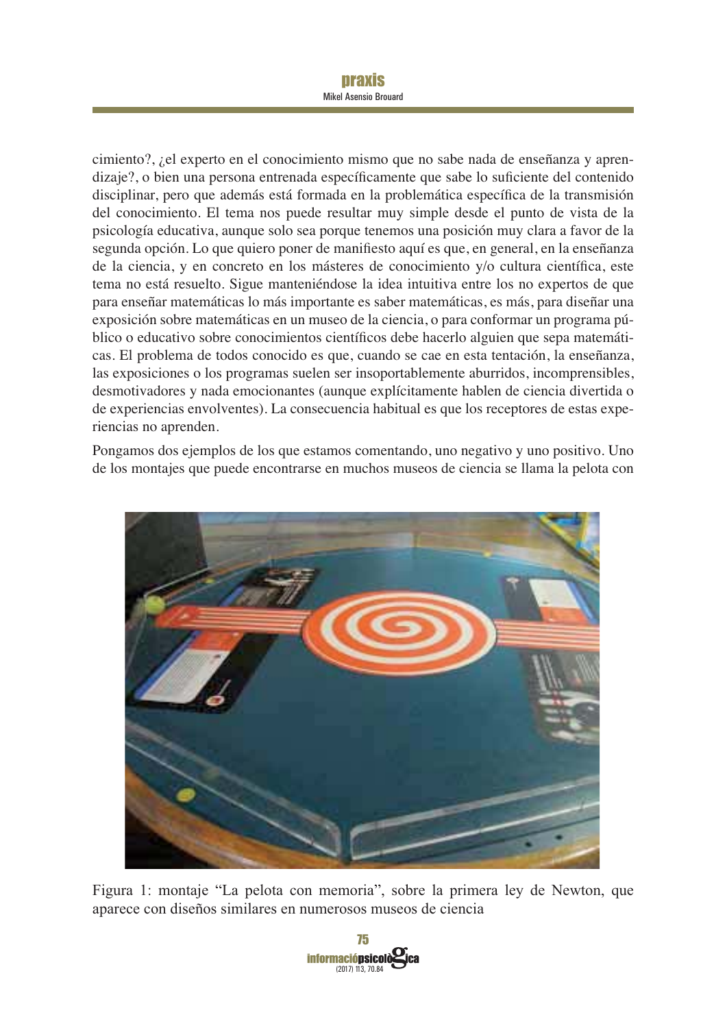## **Draxis**

**Mikel Asensio Brouard** 

cimiento?, ¿el experto en el conocimiento mismo que no sabe nada de enseñanza y aprendizaje?, o bien una persona entrenada específicamente que sabe lo suficiente del contenido disciplinar, pero que además está formada en la problemática específica de la transmisión del conocimiento. El tema nos puede resultar muy simple desde el punto de vista de la psicología educativa, aunque solo sea porque tenemos una posición muy clara a favor de la segunda opción. Lo que quiero poner de manifiesto aquí es que, en general, en la enseñanza de la ciencia, y en concreto en los másteres de conocimiento y/o cultura científica, este tema no está resuelto. Sigue manteniéndose la idea intuitiva entre los no expertos de que para enseñar matemáticas lo más importante es saber matemáticas, es más, para diseñar una exposición sobre matemáticas en un museo de la ciencia, o para conformar un programa público o educativo sobre conocimientos científicos debe hacerlo alguien que sepa matemáticas. El problema de todos conocido es que, cuando se cae en esta tentación, la enseñanza, las exposiciones o los programas suelen ser insoportablemente aburridos, incomprensibles, desmotivadores y nada emocionantes (aunque explícitamente hablen de ciencia divertida o de experiencias envolventes). La consecuencia habitual es que los receptores de estas experiencias no aprenden.

Pongamos dos ejemplos de los que estamos comentando, uno negativo y uno positivo. Uno de los montajes que puede encontrarse en muchos museos de ciencia se llama la pelota con



Figura 1: montaje "La pelota con memoria", sobre la primera ley de Newton, que aparece con diseños similares en numerosos museos de ciencia

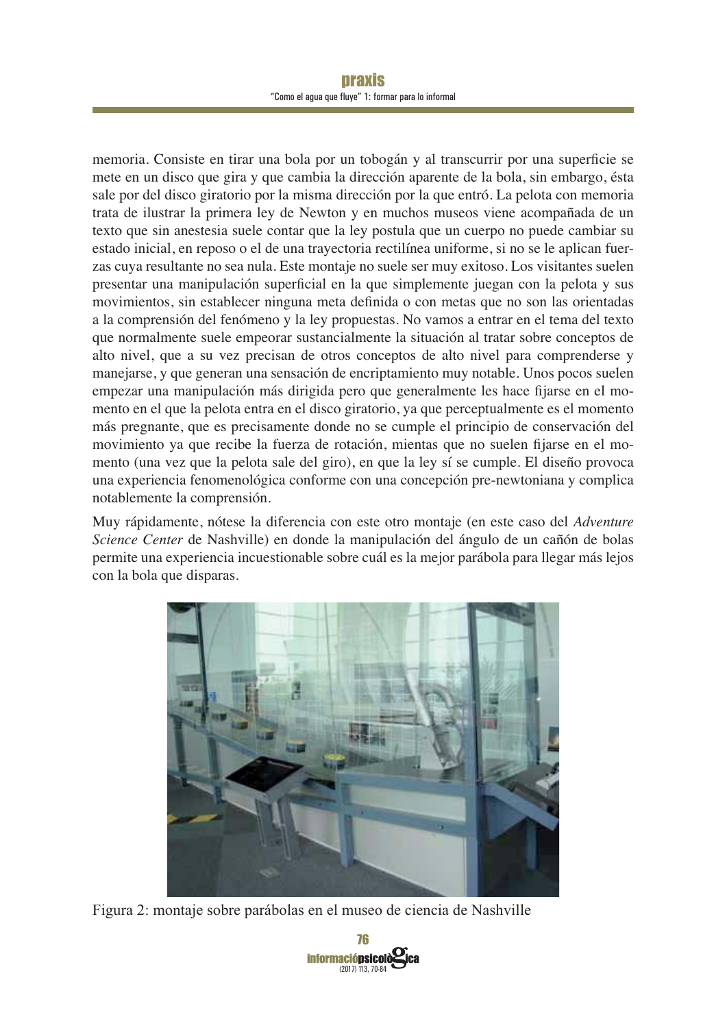#### praxis "Como el agua que fluye" 1: formar para lo informal

memoria. Consiste en tirar una bola por un tobogán y al transcurrir por una superficie se mete en un disco que gira y que cambia la dirección aparente de la bola, sin embargo, ésta sale por del disco giratorio por la misma dirección por la que entró. La pelota con memoria trata de ilustrar la primera ley de Newton y en muchos museos viene acompañada de un texto que sin anestesia suele contar que la ley postula que un cuerpo no puede cambiar su estado inicial, en reposo o el de una trayectoria rectilínea uniforme, si no se le aplican fuerzas cuya resultante no sea nula. Este montaje no suele ser muy exitoso. Los visitantes suelen presentar una manipulación superficial en la que simplemente juegan con la pelota y sus movimientos, sin establecer ninguna meta definida o con metas que no son las orientadas a la comprensión del fenómeno y la ley propuestas. No vamos a entrar en el tema del texto que normalmente suele empeorar sustancialmente la situación al tratar sobre conceptos de alto nivel, que a su vez precisan de otros conceptos de alto nivel para comprenderse y manejarse, y que generan una sensación de encriptamiento muy notable. Unos pocos suelen empezar una manipulación más dirigida pero que generalmente les hace fijarse en el momento en el que la pelota entra en el disco giratorio, ya que perceptualmente es el momento más pregnante, que es precisamente donde no se cumple el principio de conservación del movimiento ya que recibe la fuerza de rotación, mientas que no suelen fijarse en el momento (una vez que la pelota sale del giro), en que la ley sí se cumple. El diseño provoca una experiencia fenomenológica conforme con una concepción pre-newtoniana y complica notablemente la comprensión.

Muy rápidamente, nótese la diferencia con este otro montaje (en este caso del Adventure *Science Center* de Nashville) en donde la manipulación del ángulo de un cañón de bolas permite una experiencia incuestionable sobre cuál es la mejor parábola para llegar más lejos con la bola que disparas.



Figura 2: montaje sobre parábolas en el museo de ciencia de Nashville

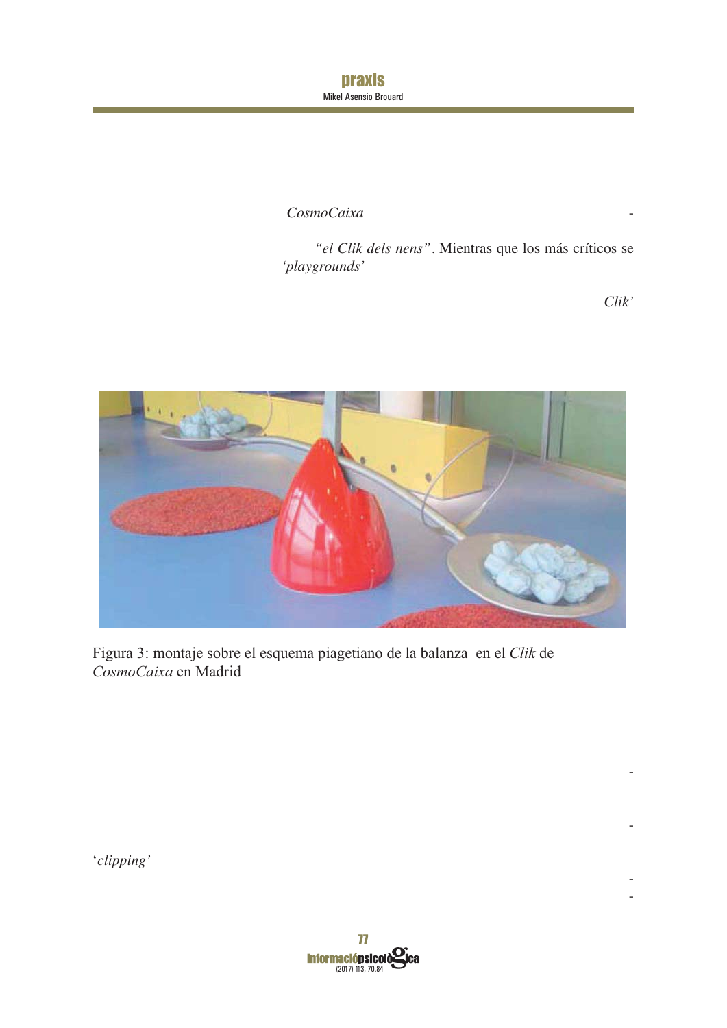praxis Mikel Asensio Brouard

 $CosmoCaixa$ 

*"el Clik dels nens"*. Mientras que los más críticos se *'playgrounds'*

*Clik'*

-

-

- -



Figura 3: montaje sobre el esquema piagetiano de la balanza en el *Clik* de *CosmoCaixa* en Madrid

'*clipping'*

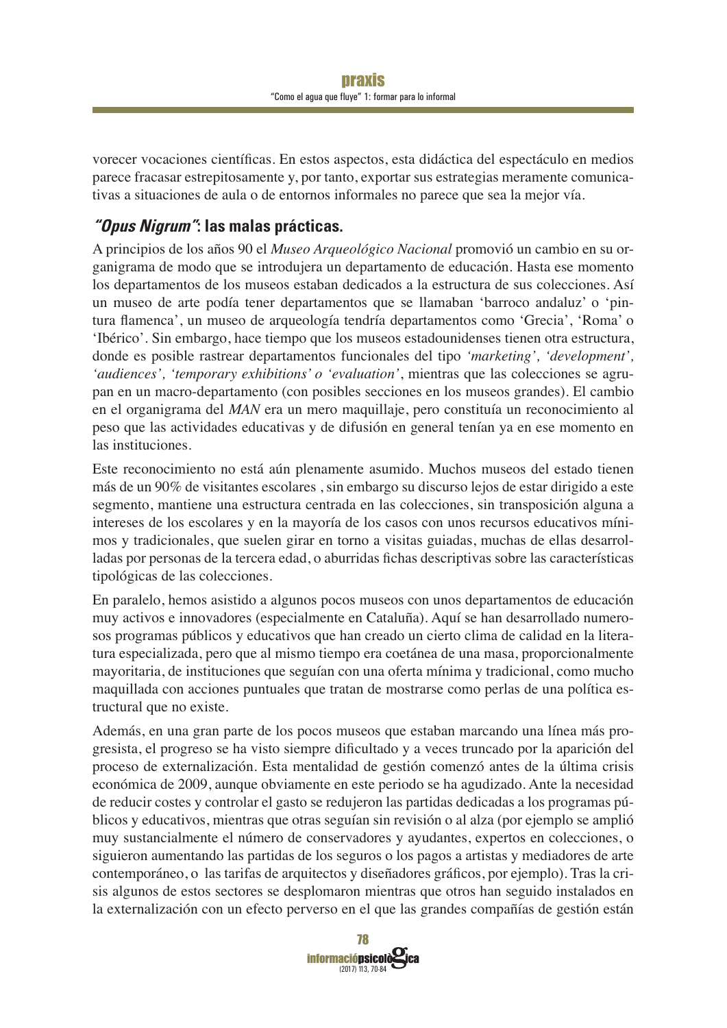Vorecer vocaciones científicas. En estos aspectos, esta didáctica del espectáculo en medios parece fracasar estrepitosamente y, por tanto, exportar sus estrategias meramente comunicativas a situaciones de aula o de entornos informales no parece que sea la mejor vía.

## **"Opus Nigrum": las malas prácticas.**

A principios de los años 90 el *Museo Arqueológico Nacional* promovió un cambio en su organigrama de modo que se introdujera un departamento de educación. Hasta ese momento los departamentos de los museos estaban dedicados a la estructura de sus colecciones. Así un museo de arte podía tener departamentos que se llamaban 'barroco andaluz' o 'pintura flamenca', un museo de arqueología tendría departamentos como 'Grecia', 'Roma' o 'Ibérico'. Sin embargo, hace tiempo que los museos estadounidenses tienen otra estructura, donde es posible rastrear departamentos funcionales del tipo '*marketing'*, '*development'*, *'audiences', 'temporary exhibitions' o 'evaluation'*, mientras que las colecciones se agrupan en un macro-departamento (con posibles secciones en los museos grandes). El cambio en el organigrama del *MAN* era un mero maquillaje, pero constituía un reconocimiento al peso que las actividades educativas y de difusión en general tenían ya en ese momento en las instituciones.

Este reconocimiento no está aún plenamente asumido. Muchos museos del estado tienen más de un 90% de visitantes escolares, sin embargo su discurso lejos de estar dirigido a este segmento, mantiene una estructura centrada en las colecciones, sin transposición alguna a intereses de los escolares y en la mayoría de los casos con unos recursos educativos mínimos y tradicionales, que suelen girar en torno a visitas guiadas, muchas de ellas desarrolladas por personas de la tercera edad, o aburridas fichas descriptivas sobre las características tipológicas de las colecciones.

En paralelo, hemos asistido a algunos pocos museos con unos departamentos de educación muy activos e innovadores (especialmente en Cataluña). Aquí se han desarrollado numerosos programas públicos y educativos que han creado un cierto clima de calidad en la literatura especializada, pero que al mismo tiempo era coetánea de una masa, proporcionalmente mayoritaria, de instituciones que seguían con una oferta mínima y tradicional, como mucho maquillada con acciones puntuales que tratan de mostrarse como perlas de una política estructural que no existe.

Además, en una gran parte de los pocos museos que estaban marcando una línea más progresista, el progreso se ha visto siempre dificultado y a veces truncado por la aparición del proceso de externalización. Esta mentalidad de gestión comenzó antes de la última crisis económica de 2009, aunque obviamente en este periodo se ha agudizado. Ante la necesidad de reducir costes y controlar el gasto se redujeron las partidas dedicadas a los programas públicos y educativos, mientras que otras seguían sin revisión o al alza (por ejemplo se amplió muy sustancialmente el número de conservadores y ayudantes, expertos en colecciones, o siguieron aumentando las partidas de los seguros o los pagos a artistas y mediadores de arte contemporáneo, o las tarifas de arquitectos y diseñadores gráficos, por ejemplo). Tras la crisis algunos de estos sectores se desplomaron mientras que otros han seguido instalados en la externalización con un efecto perverso en el que las grandes compañías de gestión están

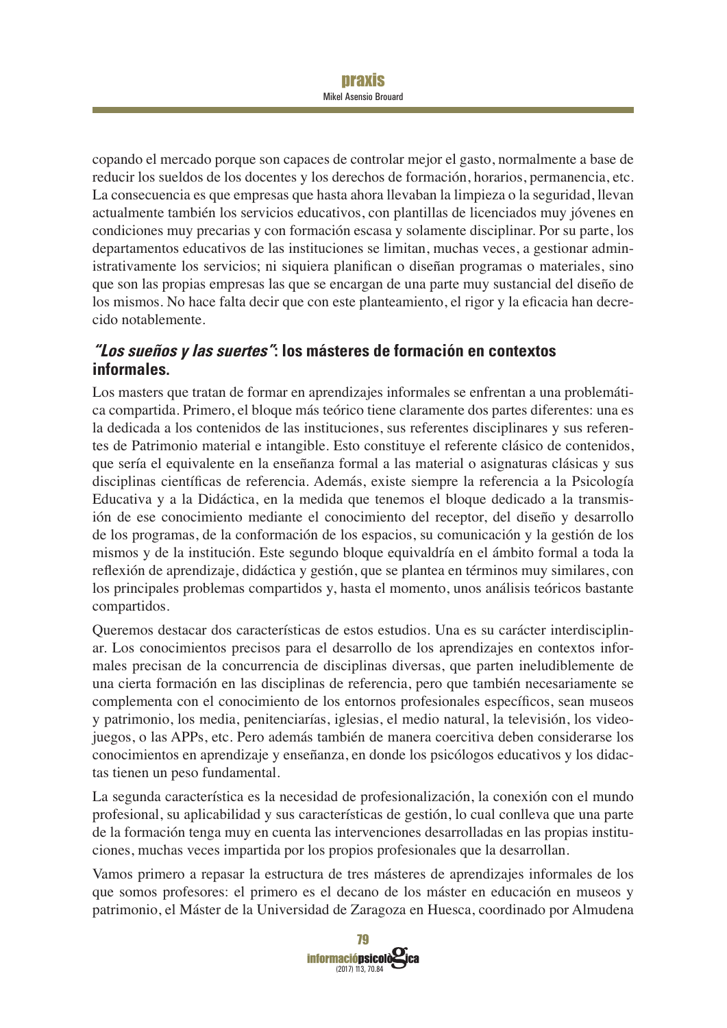#### praxis Mikel Asensio Brouard

copando el mercado porque son capaces de controlar mejor el gasto, normalmente a base de reducir los sueldos de los docentes y los derechos de formación, horarios, permanencia, etc. La consecuencia es que empresas que hasta ahora llevaban la limpieza o la seguridad, llevan actualmente también los servicios educativos, con plantillas de licenciados muy jóvenes en condiciones muy precarias y con formación escasa y solamente disciplinar. Por su parte, los departamentos educativos de las instituciones se limitan, muchas veces, a gestionar administrativamente los servicios; ni siquiera planifican o diseñan programas o materiales, sino que son las propias empresas las que se encargan de una parte muy sustancial del diseño de los mismos. No hace falta decir que con este planteamiento, el rigor y la eficacia han decrecido notablemente.

### **"Los sueños y las suertes": los másteres de formación en contextos informales.**

Los masters que tratan de formar en aprendizajes informales se enfrentan a una problemática compartida. Primero, el bloque más teórico tiene claramente dos partes diferentes: una es la dedicada a los contenidos de las instituciones, sus referentes disciplinares y sus referentes de Patrimonio material e intangible. Esto constituye el referente clásico de contenidos, que sería el equivalente en la enseñanza formal a las material o asignaturas clásicas y sus disciplinas científicas de referencia. Además, existe siempre la referencia a la Psicología Educativa y a la Didáctica, en la medida que tenemos el bloque dedicado a la transmisión de ese conocimiento mediante el conocimiento del receptor, del diseño y desarrollo de los programas, de la conformación de los espacios, su comunicación y la gestión de los mismos y de la institución. Este segundo bloque equivaldría en el ámbito formal a toda la reflexión de aprendizaje, didáctica y gestión, que se plantea en términos muy similares, con los principales problemas compartidos y, hasta el momento, unos análisis teóricos bastante compartidos.

Queremos destacar dos características de estos estudios. Una es su carácter interdisciplinar. Los conocimientos precisos para el desarrollo de los aprendizajes en contextos informales precisan de la concurrencia de disciplinas diversas, que parten ineludiblemente de una cierta formación en las disciplinas de referencia, pero que también necesariamente se complementa con el conocimiento de los entornos profesionales específicos, sean museos  $\gamma$  patrimonio, los media, penitenciarías, iglesias, el medio natural, la televisión, los videojuegos, o las APPs, etc. Pero además también de manera coercitiva deben considerarse los conocimientos en aprendizaje y enseñanza, en donde los psicólogos educativos y los didactas tienen un peso fundamental.

La segunda característica es la necesidad de profesionalización, la conexión con el mundo profesional, su aplicabilidad y sus características de gestión, lo cual conlleva que una parte de la formación tenga muy en cuenta las intervenciones desarrolladas en las propias instituciones, muchas veces impartida por los propios profesionales que la desarrollan.

Vamos primero a repasar la estructura de tres másteres de aprendizajes informales de los que somos profesores: el primero es el decano de los máster en educación en museos y patrimonio, el Máster de la Universidad de Zaragoza en Huesca, coordinado por Almudena

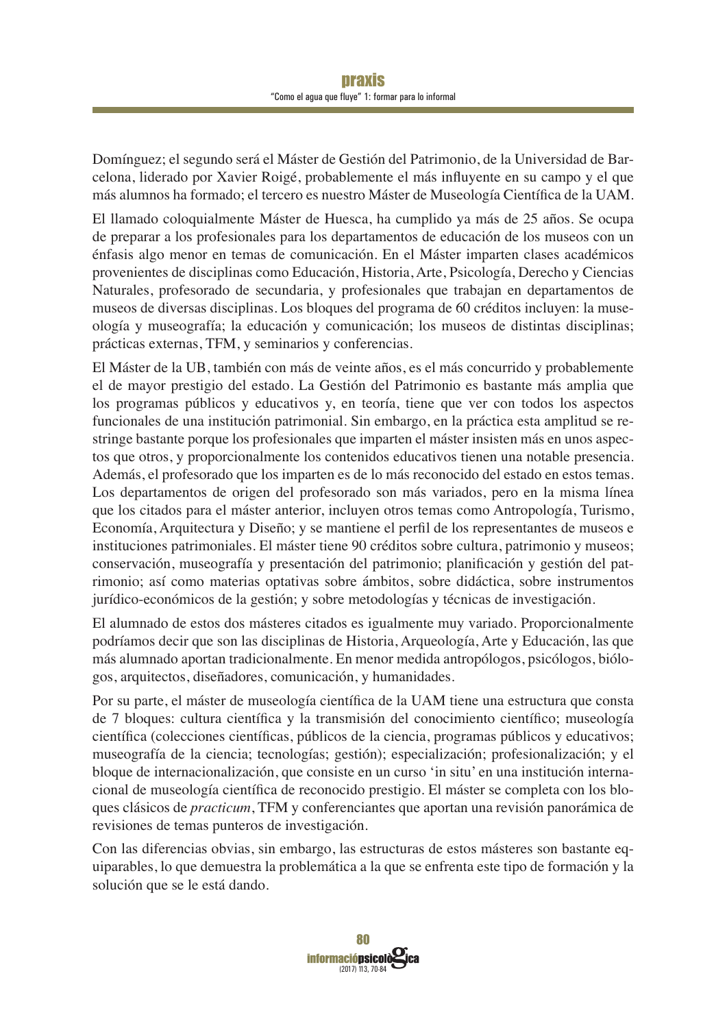Domínguez; el segundo será el Máster de Gestión del Patrimonio, de la Universidad de Barcelona, liderado por Xavier Roigé, probablemente el más influyente en su campo y el que más alumnos ha formado; el tercero es nuestro Máster de Museología Científica de la UAM.

El llamado coloquialmente Máster de Huesca, ha cumplido ya más de 25 años. Se ocupa de preparar a los profesionales para los departamentos de educación de los museos con un énfasis algo menor en temas de comunicación. En el Máster imparten clases académicos provenientes de disciplinas como Educación, Historia, Arte, Psicología, Derecho y Ciencias Naturales, profesorado de secundaria, y profesionales que trabajan en departamentos de museos de diversas disciplinas. Los bloques del programa de 60 créditos incluyen: la museología y museografía; la educación y comunicación; los museos de distintas disciplinas; prácticas externas, TFM, y seminarios y conferencias.

El Máster de la UB, también con más de veinte años, es el más concurrido y probablemente el de mayor prestigio del estado. La Gestión del Patrimonio es bastante más amplia que los programas públicos y educativos y, en teoría, tiene que ver con todos los aspectos funcionales de una institución patrimonial. Sin embargo, en la práctica esta amplitud se restringe bastante porque los profesionales que imparten el máster insisten más en unos aspectos que otros, y proporcionalmente los contenidos educativos tienen una notable presencia. Además, el profesorado que los imparten es de lo más reconocido del estado en estos temas. Los departamentos de origen del profesorado son más variados, pero en la misma línea que los citados para el máster anterior, incluyen otros temas como Antropología, Turismo, Economía, Arquitectura y Diseño; y se mantiene el perfil de los representantes de museos e instituciones patrimoniales. El máster tiene 90 créditos sobre cultura, patrimonio y museos; conservación, museografía y presentación del patrimonio; planificación y gestión del patrimonio; así como materias optativas sobre ámbitos, sobre didáctica, sobre instrumentos jurídico-económicos de la gestión; y sobre metodologías y técnicas de investigación.

El alumnado de estos dos másteres citados es igualmente muy variado. Proporcionalmente podríamos decir que son las disciplinas de Historia, Arqueología, Arte y Educación, las que más alumnado aportan tradicionalmente. En menor medida antropólogos, psicólogos, biólogos, arquitectos, diseñadores, comunicación, y humanidades.

Por su parte, el máster de museología científica de la UAM tiene una estructura que consta de 7 bloques: cultura científica y la transmisión del conocimiento científico; museología científica (colecciones científicas, públicos de la ciencia, programas públicos y educativos; museografía de la ciencia; tecnologías; gestión); especialización; profesionalización; y el bloque de internacionalización, que consiste en un curso 'in situ' en una institución internacional de museología científica de reconocido prestigio. El máster se completa con los bloques clásicos de *practicum*, TFM y conferenciantes que aportan una revisión panorámica de revisiones de temas punteros de investigación.

Con las diferencias obvias, sin embargo, las estructuras de estos másteres son bastante equiparables, lo que demuestra la problemática a la que se enfrenta este tipo de formación y la solución que se le está dando.

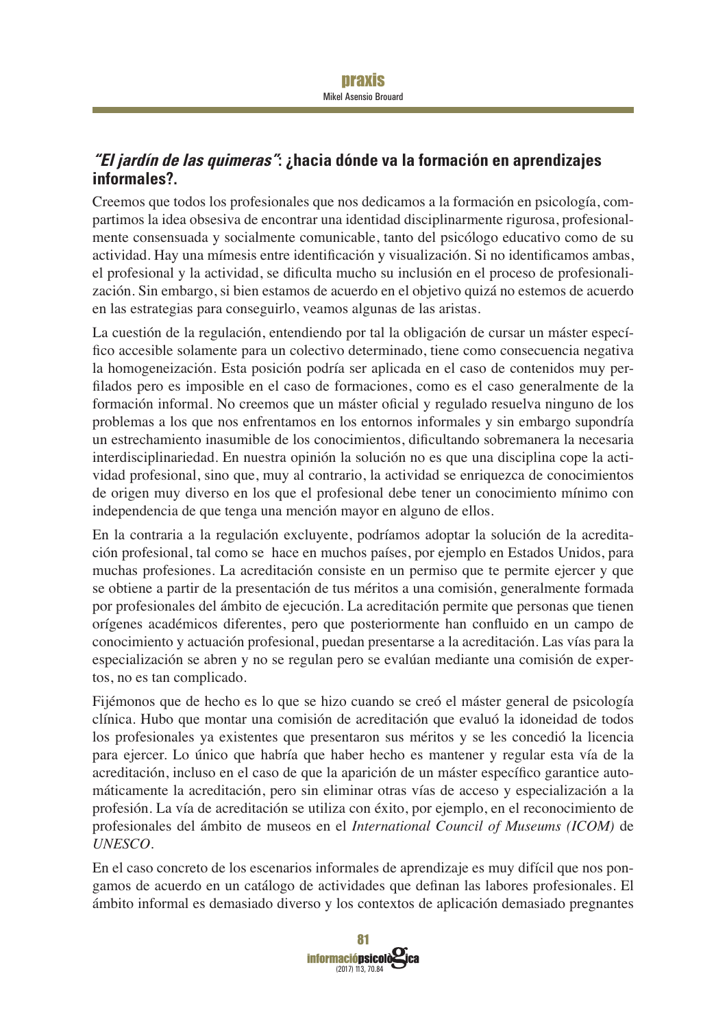## **"El jardín de las quimeras": ¿hacia dónde va la formación en aprendizajes informales?.**

Creemos que todos los profesionales que nos dedicamos a la formación en psicología, compartimos la idea obsesiva de encontrar una identidad disciplinarmente rigurosa, profesionalmente consensuada y socialmente comunicable, tanto del psicólogo educativo como de su actividad. Hay una mímesis entre identificación y visualización. Si no identificamos ambas, el profesional y la actividad, se dificulta mucho su inclusión en el proceso de profesionalización. Sin embargo, si bien estamos de acuerdo en el objetivo quizá no estemos de acuerdo en las estrategias para conseguirlo, veamos algunas de las aristas.

La cuestión de la regulación, entendiendo por tal la obligación de cursar un máster específico accesible solamente para un colectivo determinado, tiene como consecuencia negativa la homogeneización. Esta posición podría ser aplicada en el caso de contenidos muy perfilados pero es imposible en el caso de formaciones, como es el caso generalmente de la formación informal. No creemos que un máster oficial y regulado resuelva ninguno de los problemas a los que nos enfrentamos en los entornos informales y sin embargo supondría un estrechamiento inasumible de los conocimientos, dificultando sobremanera la necesaria interdisciplinariedad. En nuestra opinión la solución no es que una disciplina cope la actividad profesional, sino que, muy al contrario, la actividad se enriquezca de conocimientos de origen muy diverso en los que el profesional debe tener un conocimiento mínimo con independencia de que tenga una mención mayor en alguno de ellos.

En la contraria a la regulación excluyente, podríamos adoptar la solución de la acreditación profesional, tal como se hace en muchos países, por ejemplo en Estados Unidos, para muchas profesiones. La acreditación consiste en un permiso que te permite ejercer y que se obtiene a partir de la presentación de tus méritos a una comisión, generalmente formada por profesionales del ámbito de ejecución. La acreditación permite que personas que tienen orígenes académicos diferentes, pero que posteriormente han confluido en un campo de conocimiento y actuación profesional, puedan presentarse a la acreditación. Las vías para la especialización se abren y no se regulan pero se evalúan mediante una comisión de expertos, no es tan complicado.

Fijémonos que de hecho es lo que se hizo cuando se creó el máster general de psicología clínica. Hubo que montar una comisión de acreditación que evaluó la idoneidad de todos los profesionales ya existentes que presentaron sus méritos y se les concedió la licencia para ejercer. Lo único que habría que haber hecho es mantener y regular esta vía de la acreditación, incluso en el caso de que la aparición de un máster específico garantice automáticamente la acreditación, pero sin eliminar otras vías de acceso y especialización a la profesión. La vía de acreditación se utiliza con éxito, por ejemplo, en el reconocimiento de profesionales del ámbito de museos en el *International Council of Museums (ICOM)* de *UNESCO*.

En el caso concreto de los escenarios informales de aprendizaje es muy difícil que nos pongamos de acuerdo en un catálogo de actividades que definan las labores profesionales. El ámbito informal es demasiado diverso y los contextos de aplicación demasiado pregnantes

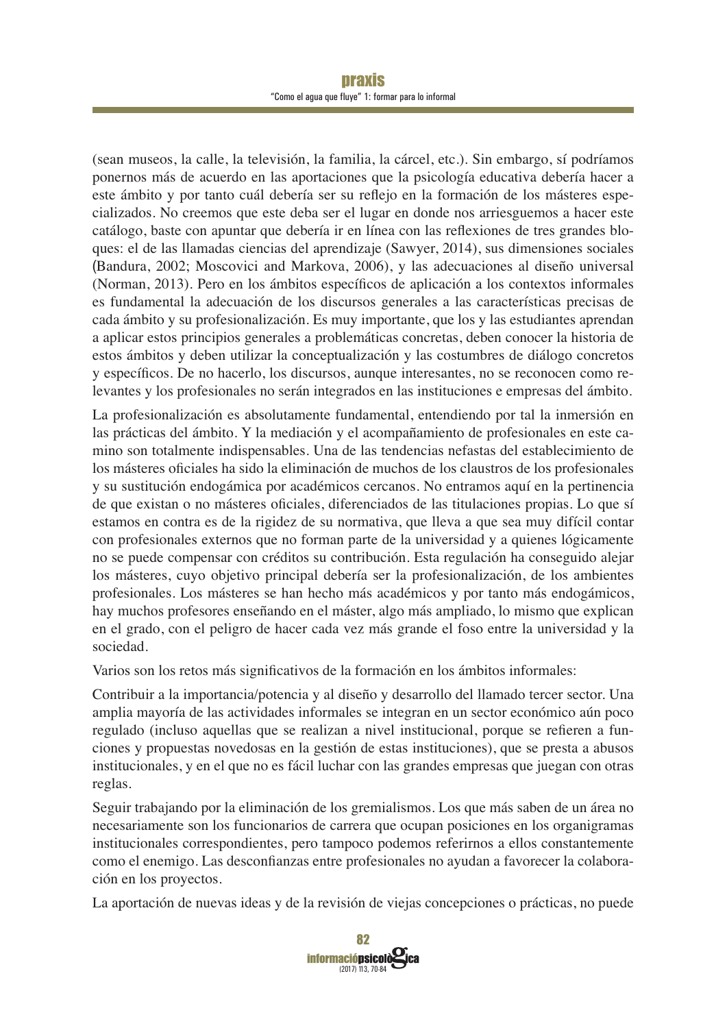#### **Draxis** "Como el agua que fluye" 1: formar para lo informal

(sean museos, la calle, la televisión, la familia, la cárcel, etc.). Sin embargo, sí podríamos ponernos más de acuerdo en las aportaciones que la psicología educativa debería hacer a este ámbito y por tanto cuál debería ser su reflejo en la formación de los másteres especializados. No creemos que este deba ser el lugar en donde nos arriesguemos a hacer este catálogo, baste con apuntar que debería ir en línea con las reflexiones de tres grandes bloques: el de las llamadas ciencias del aprendizaje (Sawyer, 2014), sus dimensiones sociales (Bandura, 2002; Moscovici and Markova, 2006), y las adecuaciones al diseño universal (Norman, 2013). Pero en los ámbitos específicos de aplicación a los contextos informales es fundamental la adecuación de los discursos generales a las características precisas de cada ámbito y su profesionalización. Es muy importante, que los y las estudiantes aprendan a aplicar estos principios generales a problemáticas concretas, deben conocer la historia de estos ámbitos y deben utilizar la conceptualización y las costumbres de diálogo concretos y específicos. De no hacerlo, los discursos, aunque interesantes, no se reconocen como relevantes y los profesionales no serán integrados en las instituciones e empresas del ámbito.

La profesionalización es absolutamente fundamental, entendiendo por tal la inmersión en las prácticas del ámbito. Y la mediación y el acompañamiento de profesionales en este camino son totalmente indispensables. Una de las tendencias nefastas del establecimiento de los másteres oficiales ha sido la eliminación de muchos de los claustros de los profesionales y su sustitución endogámica por académicos cercanos. No entramos aquí en la pertinencia de que existan o no másteres oficiales, diferenciados de las titulaciones propias. Lo que sí estamos en contra es de la rigidez de su normativa, que lleva a que sea muy difícil contar con profesionales externos que no forman parte de la universidad y a quienes lógicamente no se puede compensar con créditos su contribución. Esta regulación ha conseguido alejar los másteres, cuyo objetivo principal debería ser la profesionalización, de los ambientes profesionales. Los másteres se han hecho más académicos y por tanto más endogámicos, hay muchos profesores enseñando en el máster, algo más ampliado, lo mismo que explican en el grado, con el peligro de hacer cada vez más grande el foso entre la universidad y la sociedad.

Varios son los retos más significativos de la formación en los ámbitos informales:

Contribuir a la importancia/potencia y al diseño y desarrollo del llamado tercer sector. Una amplia mayoría de las actividades informales se integran en un sector económico aún poco regulado (incluso aquellas que se realizan a nivel institucional, porque se refieren a funciones y propuestas novedosas en la gestión de estas instituciones), que se presta a abusos institucionales, y en el que no es fácil luchar con las grandes empresas que juegan con otras reglas.

Seguir trabajando por la eliminación de los gremialismos. Los que más saben de un área no necesariamente son los funcionarios de carrera que ocupan posiciones en los organigramas institucionales correspondientes, pero tampoco podemos referirnos a ellos constantemente como el enemigo. Las desconfianzas entre profesionales no ayudan a favorecer la colaboración en los proyectos.

La aportación de nuevas ideas y de la revisión de viejas concepciones o prácticas, no puede

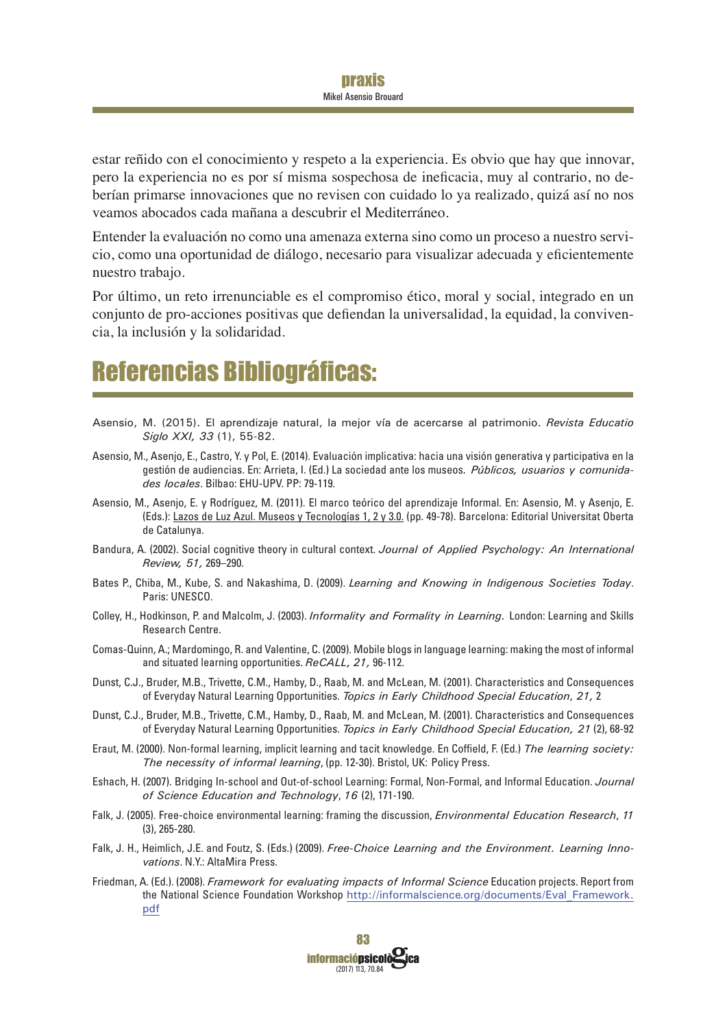estar reñido con el conocimiento y respeto a la experiencia. Es obvio que hay que innovar, pero la experiencia no es por sí misma sospechosa de ineficacia, muy al contrario, no deberían primarse innovaciones que no revisen con cuidado lo ya realizado, quizá así no nos veamos abocados cada mañana a descubrir el Mediterráneo.

Entender la evaluación no como una amenaza externa sino como un proceso a nuestro servicio, como una oportunidad de diálogo, necesario para visualizar adecuada y eficientemente nuestro trabajo.

Por último, un reto irrenunciable es el compromiso ético, moral y social, integrado en un conjunto de pro-acciones positivas que defiendan la universalidad, la equidad, la convivencia, la inclusión y la solidaridad.

## **Referencias Bibliográficas:**

- Asensio, M. (2015). El aprendizaje natural, la mejor vía de acercarse al patrimonio. Revista Educatio Siglo XXI, 33 (1), 55-82.
- Asensio, M., Asenjo, E., Castro, Y. y Pol, E. (2014). Evaluación implicativa: hacia una visión generativa y participativa en la gestión de audiencias. En: Arrieta, I. (Ed.) La sociedad ante los museos. Públicos, usuarios y comunidades locales. Bilbao: EHU-UPV, PP: 79-119.
- Asensio, M., Asenjo, E. y Rodríguez, M. (2011). El marco teórico del aprendizaje Informal. En: Asensio, M. y Asenjo, E. (Eds.): Lazos de Luz Azul. Museos y Tecnologías 1, 2 y 3.0. (pp. 49-78). Barcelona: Editorial Universitat Oberta de Catalunva.
- Bandura, A. (2002). Social cognitive theory in cultural context. Journal of Applied Psychology: An International Review, 51, 269-290.
- Bates P., Chiba, M., Kube, S. and Nakashima, D. (2009). Learning and Knowing in Indigenous Societies Today. Paris: UNESCO.
- Colley, H., Hodkinson, P. and Malcolm, J. (2003). Informality and Formality in Learning. London: Learning and Skills Research Centre.
- Comas-Quinn, A.; Mardomingo, R. and Valentine, C. (2009). Mobile blogs in language learning: making the most of informal and situated learning opportunities, ReCALL, 21, 96-112.
- Dunst, C.J., Bruder, M.B., Trivette, C.M., Hamby, D., Raab, M. and McLean, M. (2001). Characteristics and Consequences of Everyday Natural Learning Opportunities. Topics in Early Childhood Special Education, 21, 2
- Dunst, C.J., Bruder, M.B., Trivette, C.M., Hamby, D., Raab, M. and McLean, M. (2001). Characteristics and Consequences of Everyday Natural Learning Opportunities. Topics in Early Childhood Special Education, 21 (2), 68-92
- Eraut, M. (2000). Non-formal learning, implicit learning and tacit knowledge. En Coffield, F. (Ed.) The learning society: The necessity of informal learning, (pp. 12-30). Bristol, UK: Policy Press.
- Eshach, H. (2007). Bridging In-school and Out-of-school Learning: Formal, Non-Formal, and Informal Education. Journal of Science Education and Technology, 16 (2), 171-190.
- Falk, J. (2005). Free-choice environmental learning: framing the discussion, *Environmental Education Research*, 11  $(3)$ , 265-280.
- Falk, J. H., Heimlich, J.E. and Foutz, S. (Eds.) (2009). Free-Choice Learning and the Environment. Learning Innovations. N.Y.: AltaMira Press.
- Friedman, A. (Ed.). (2008). Framework for evaluating impacts of Informal Science Education projects. Report from the National Science Foundation Workshop http://informalscience.org/documents/Eval Framework. pdf